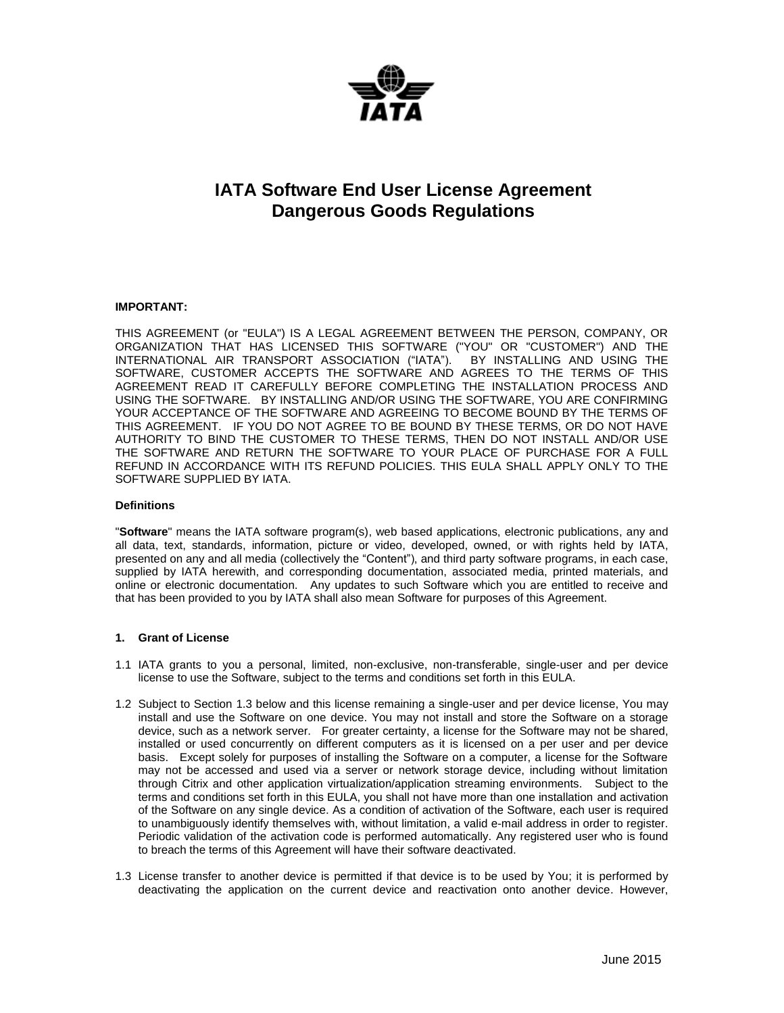

# **IATA Software End User License Agreement Dangerous Goods Regulations**

## **IMPORTANT:**

THIS AGREEMENT (or "EULA") IS A LEGAL AGREEMENT BETWEEN THE PERSON, COMPANY, OR ORGANIZATION THAT HAS LICENSED THIS SOFTWARE ("YOU" OR "CUSTOMER") AND THE INTERNATIONAL AIR TRANSPORT ASSOCIATION ("IATA"). BY INSTALLING AND USING THE SOFTWARE, CUSTOMER ACCEPTS THE SOFTWARE AND AGREES TO THE TERMS OF THIS AGREEMENT READ IT CAREFULLY BEFORE COMPLETING THE INSTALLATION PROCESS AND USING THE SOFTWARE. BY INSTALLING AND/OR USING THE SOFTWARE, YOU ARE CONFIRMING YOUR ACCEPTANCE OF THE SOFTWARE AND AGREEING TO BECOME BOUND BY THE TERMS OF THIS AGREEMENT. IF YOU DO NOT AGREE TO BE BOUND BY THESE TERMS, OR DO NOT HAVE AUTHORITY TO BIND THE CUSTOMER TO THESE TERMS, THEN DO NOT INSTALL AND/OR USE THE SOFTWARE AND RETURN THE SOFTWARE TO YOUR PLACE OF PURCHASE FOR A FULL REFUND IN ACCORDANCE WITH ITS REFUND POLICIES. THIS EULA SHALL APPLY ONLY TO THE SOFTWARE SUPPLIED BY IATA.

#### **Definitions**

"**Software**" means the IATA software program(s), web based applications, electronic publications, any and all data, text, standards, information, picture or video, developed, owned, or with rights held by IATA, presented on any and all media (collectively the "Content"), and third party software programs, in each case, supplied by IATA herewith, and corresponding documentation, associated media, printed materials, and online or electronic documentation. Any updates to such Software which you are entitled to receive and that has been provided to you by IATA shall also mean Software for purposes of this Agreement.

## **1. Grant of License**

- 1.1 IATA grants to you a personal, limited, non-exclusive, non-transferable, single-user and per device license to use the Software, subject to the terms and conditions set forth in this EULA.
- 1.2 Subject to Section 1.3 below and this license remaining a single-user and per device license, You may install and use the Software on one device. You may not install and store the Software on a storage device, such as a network server. For greater certainty, a license for the Software may not be shared, installed or used concurrently on different computers as it is licensed on a per user and per device basis. Except solely for purposes of installing the Software on a computer, a license for the Software may not be accessed and used via a server or network storage device, including without limitation through Citrix and other application virtualization/application streaming environments. Subject to the terms and conditions set forth in this EULA, you shall not have more than one installation and activation of the Software on any single device. As a condition of activation of the Software, each user is required to unambiguously identify themselves with, without limitation, a valid e-mail address in order to register. Periodic validation of the activation code is performed automatically. Any registered user who is found to breach the terms of this Agreement will have their software deactivated.
- 1.3 License transfer to another device is permitted if that device is to be used by You; it is performed by deactivating the application on the current device and reactivation onto another device. However,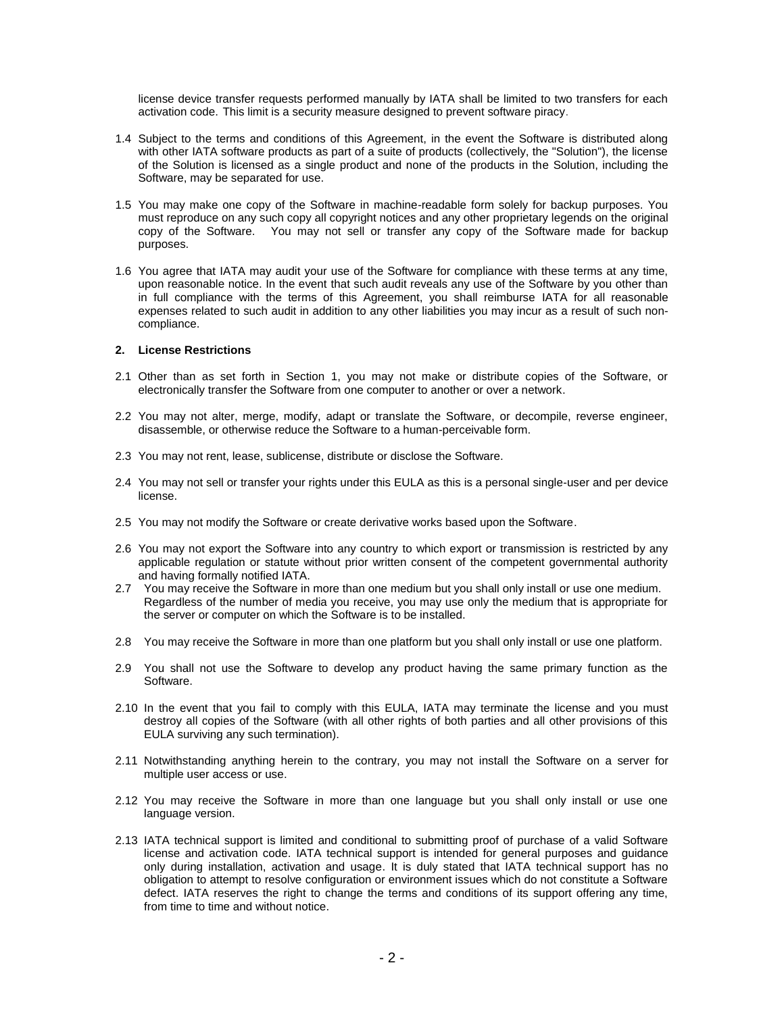license device transfer requests performed manually by IATA shall be limited to two transfers for each activation code. This limit is a security measure designed to prevent software piracy.

- 1.4 Subject to the terms and conditions of this Agreement, in the event the Software is distributed along with other IATA software products as part of a suite of products (collectively, the "Solution"), the license of the Solution is licensed as a single product and none of the products in the Solution, including the Software, may be separated for use.
- 1.5 You may make one copy of the Software in machine-readable form solely for backup purposes. You must reproduce on any such copy all copyright notices and any other proprietary legends on the original copy of the Software. You may not sell or transfer any copy of the Software made for backup purposes.
- 1.6 You agree that IATA may audit your use of the Software for compliance with these terms at any time, upon reasonable notice. In the event that such audit reveals any use of the Software by you other than in full compliance with the terms of this Agreement, you shall reimburse IATA for all reasonable expenses related to such audit in addition to any other liabilities you may incur as a result of such noncompliance.

#### **2. License Restrictions**

- 2.1 Other than as set forth in Section 1, you may not make or distribute copies of the Software, or electronically transfer the Software from one computer to another or over a network.
- 2.2 You may not alter, merge, modify, adapt or translate the Software, or decompile, reverse engineer, disassemble, or otherwise reduce the Software to a human-perceivable form.
- 2.3 You may not rent, lease, sublicense, distribute or disclose the Software.
- 2.4 You may not sell or transfer your rights under this EULA as this is a personal single-user and per device license.
- 2.5 You may not modify the Software or create derivative works based upon the Software.
- 2.6 You may not export the Software into any country to which export or transmission is restricted by any applicable regulation or statute without prior written consent of the competent governmental authority and having formally notified IATA.
- 2.7 You may receive the Software in more than one medium but you shall only install or use one medium. Regardless of the number of media you receive, you may use only the medium that is appropriate for the server or computer on which the Software is to be installed.
- 2.8 You may receive the Software in more than one platform but you shall only install or use one platform.
- 2.9 You shall not use the Software to develop any product having the same primary function as the Software.
- 2.10 In the event that you fail to comply with this EULA, IATA may terminate the license and you must destroy all copies of the Software (with all other rights of both parties and all other provisions of this EULA surviving any such termination).
- 2.11 Notwithstanding anything herein to the contrary, you may not install the Software on a server for multiple user access or use.
- 2.12 You may receive the Software in more than one language but you shall only install or use one language version.
- 2.13 IATA technical support is limited and conditional to submitting proof of purchase of a valid Software license and activation code. IATA technical support is intended for general purposes and guidance only during installation, activation and usage. It is duly stated that IATA technical support has no obligation to attempt to resolve configuration or environment issues which do not constitute a Software defect. IATA reserves the right to change the terms and conditions of its support offering any time, from time to time and without notice.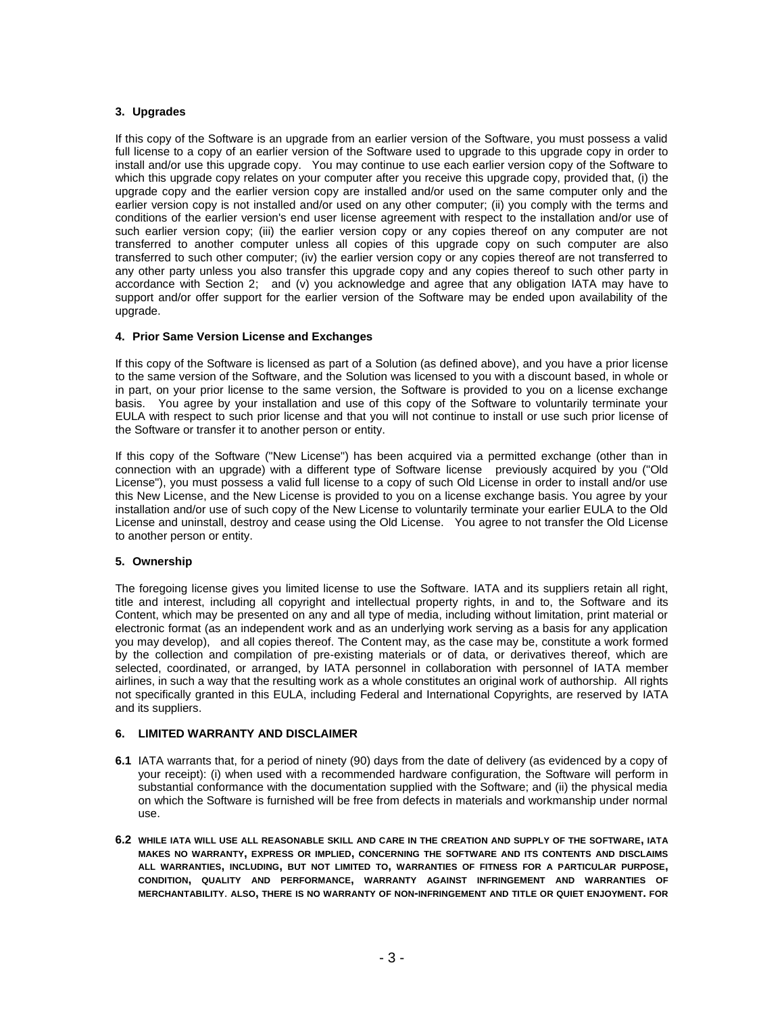## **3. Upgrades**

If this copy of the Software is an upgrade from an earlier version of the Software, you must possess a valid full license to a copy of an earlier version of the Software used to upgrade to this upgrade copy in order to install and/or use this upgrade copy. You may continue to use each earlier version copy of the Software to which this upgrade copy relates on your computer after you receive this upgrade copy, provided that, (i) the upgrade copy and the earlier version copy are installed and/or used on the same computer only and the earlier version copy is not installed and/or used on any other computer; (ii) you comply with the terms and conditions of the earlier version's end user license agreement with respect to the installation and/or use of such earlier version copy; (iii) the earlier version copy or any copies thereof on any computer are not transferred to another computer unless all copies of this upgrade copy on such computer are also transferred to such other computer; (iv) the earlier version copy or any copies thereof are not transferred to any other party unless you also transfer this upgrade copy and any copies thereof to such other party in accordance with Section 2; and (v) you acknowledge and agree that any obligation IATA may have to support and/or offer support for the earlier version of the Software may be ended upon availability of the upgrade.

## **4. Prior Same Version License and Exchanges**

If this copy of the Software is licensed as part of a Solution (as defined above), and you have a prior license to the same version of the Software, and the Solution was licensed to you with a discount based, in whole or in part, on your prior license to the same version, the Software is provided to you on a license exchange basis. You agree by your installation and use of this copy of the Software to voluntarily terminate your EULA with respect to such prior license and that you will not continue to install or use such prior license of the Software or transfer it to another person or entity.

If this copy of the Software ("New License") has been acquired via a permitted exchange (other than in connection with an upgrade) with a different type of Software license previously acquired by you ("Old License"), you must possess a valid full license to a copy of such Old License in order to install and/or use this New License, and the New License is provided to you on a license exchange basis. You agree by your installation and/or use of such copy of the New License to voluntarily terminate your earlier EULA to the Old License and uninstall, destroy and cease using the Old License. You agree to not transfer the Old License to another person or entity.

## **5. Ownership**

The foregoing license gives you limited license to use the Software. IATA and its suppliers retain all right, title and interest, including all copyright and intellectual property rights, in and to, the Software and its Content, which may be presented on any and all type of media, including without limitation, print material or electronic format (as an independent work and as an underlying work serving as a basis for any application you may develop), and all copies thereof. The Content may, as the case may be, constitute a work formed by the collection and compilation of pre-existing materials or of data, or derivatives thereof, which are selected, coordinated, or arranged, by IATA personnel in collaboration with personnel of IATA member airlines, in such a way that the resulting work as a whole constitutes an original work of authorship. All rights not specifically granted in this EULA, including Federal and International Copyrights, are reserved by IATA and its suppliers.

## **6. LIMITED WARRANTY AND DISCLAIMER**

- **6.1** IATA warrants that, for a period of ninety (90) days from the date of delivery (as evidenced by a copy of your receipt): (i) when used with a recommended hardware configuration, the Software will perform in substantial conformance with the documentation supplied with the Software; and (ii) the physical media on which the Software is furnished will be free from defects in materials and workmanship under normal use.
- **6.2 WHILE IATA WILL USE ALL REASONABLE SKILL AND CARE IN THE CREATION AND SUPPLY OF THE SOFTWARE, IATA MAKES NO WARRANTY, EXPRESS OR IMPLIED, CONCERNING THE SOFTWARE AND ITS CONTENTS AND DISCLAIMS ALL WARRANTIES, INCLUDING, BUT NOT LIMITED TO, WARRANTIES OF FITNESS FOR A PARTICULAR PURPOSE, CONDITION, QUALITY AND PERFORMANCE, WARRANTY AGAINST INFRINGEMENT AND WARRANTIES OF MERCHANTABILITY**. **ALSO, THERE IS NO WARRANTY OF NON-INFRINGEMENT AND TITLE OR QUIET ENJOYMENT. FOR**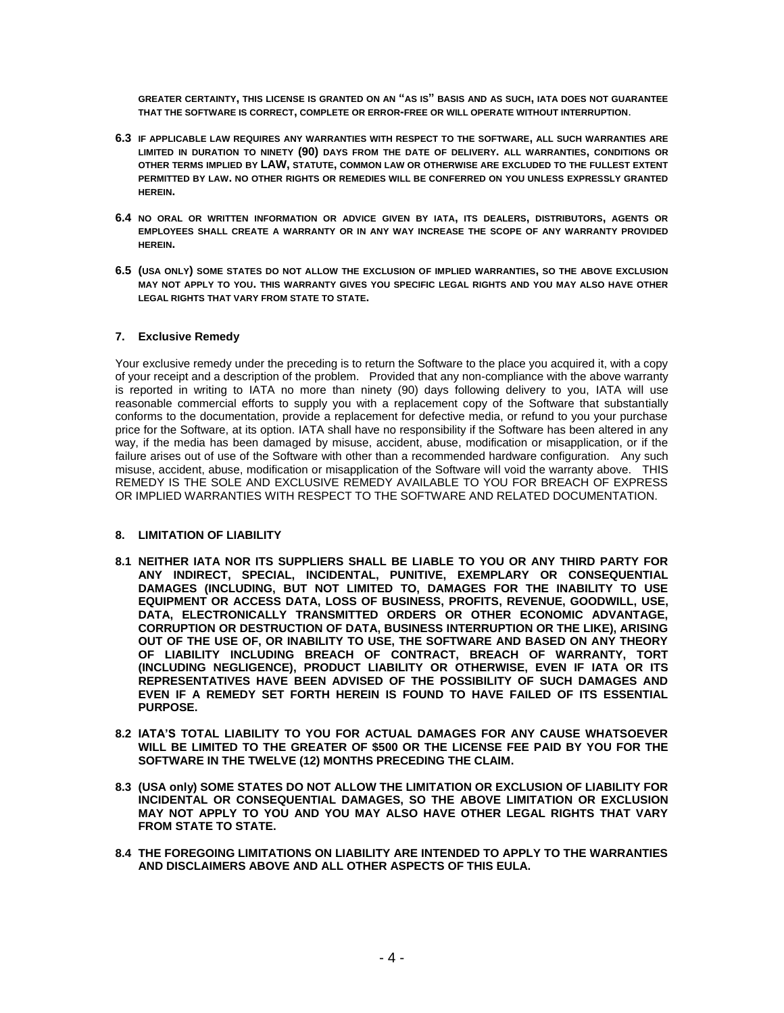**GREATER CERTAINTY, THIS LICENSE IS GRANTED ON AN "AS IS" BASIS AND AS SUCH, IATA DOES NOT GUARANTEE THAT THE SOFTWARE IS CORRECT, COMPLETE OR ERROR-FREE OR WILL OPERATE WITHOUT INTERRUPTION**.

- **6.3 IF APPLICABLE LAW REQUIRES ANY WARRANTIES WITH RESPECT TO THE SOFTWARE, ALL SUCH WARRANTIES ARE LIMITED IN DURATION TO NINETY (90) DAYS FROM THE DATE OF DELIVERY. ALL WARRANTIES, CONDITIONS OR OTHER TERMS IMPLIED BY LAW, STATUTE, COMMON LAW OR OTHERWISE ARE EXCLUDED TO THE FULLEST EXTENT PERMITTED BY LAW. NO OTHER RIGHTS OR REMEDIES WILL BE CONFERRED ON YOU UNLESS EXPRESSLY GRANTED HEREIN.**
- **6.4 NO ORAL OR WRITTEN INFORMATION OR ADVICE GIVEN BY IATA, ITS DEALERS, DISTRIBUTORS, AGENTS OR EMPLOYEES SHALL CREATE A WARRANTY OR IN ANY WAY INCREASE THE SCOPE OF ANY WARRANTY PROVIDED HEREIN.**
- **6.5 (USA ONLY) SOME STATES DO NOT ALLOW THE EXCLUSION OF IMPLIED WARRANTIES, SO THE ABOVE EXCLUSION MAY NOT APPLY TO YOU. THIS WARRANTY GIVES YOU SPECIFIC LEGAL RIGHTS AND YOU MAY ALSO HAVE OTHER LEGAL RIGHTS THAT VARY FROM STATE TO STATE.**

## **7. Exclusive Remedy**

Your exclusive remedy under the preceding is to return the Software to the place you acquired it, with a copy of your receipt and a description of the problem. Provided that any non-compliance with the above warranty is reported in writing to IATA no more than ninety (90) days following delivery to you, IATA will use reasonable commercial efforts to supply you with a replacement copy of the Software that substantially conforms to the documentation, provide a replacement for defective media, or refund to you your purchase price for the Software, at its option. IATA shall have no responsibility if the Software has been altered in any way, if the media has been damaged by misuse, accident, abuse, modification or misapplication, or if the failure arises out of use of the Software with other than a recommended hardware configuration. Any such misuse, accident, abuse, modification or misapplication of the Software will void the warranty above. THIS REMEDY IS THE SOLE AND EXCLUSIVE REMEDY AVAILABLE TO YOU FOR BREACH OF EXPRESS OR IMPLIED WARRANTIES WITH RESPECT TO THE SOFTWARE AND RELATED DOCUMENTATION.

# **8. LIMITATION OF LIABILITY**

- **8.1 NEITHER IATA NOR ITS SUPPLIERS SHALL BE LIABLE TO YOU OR ANY THIRD PARTY FOR ANY INDIRECT, SPECIAL, INCIDENTAL, PUNITIVE, EXEMPLARY OR CONSEQUENTIAL DAMAGES (INCLUDING, BUT NOT LIMITED TO, DAMAGES FOR THE INABILITY TO USE EQUIPMENT OR ACCESS DATA, LOSS OF BUSINESS, PROFITS, REVENUE, GOODWILL, USE, DATA, ELECTRONICALLY TRANSMITTED ORDERS OR OTHER ECONOMIC ADVANTAGE, CORRUPTION OR DESTRUCTION OF DATA, BUSINESS INTERRUPTION OR THE LIKE), ARISING OUT OF THE USE OF, OR INABILITY TO USE, THE SOFTWARE AND BASED ON ANY THEORY OF LIABILITY INCLUDING BREACH OF CONTRACT, BREACH OF WARRANTY, TORT (INCLUDING NEGLIGENCE), PRODUCT LIABILITY OR OTHERWISE, EVEN IF IATA OR ITS REPRESENTATIVES HAVE BEEN ADVISED OF THE POSSIBILITY OF SUCH DAMAGES AND EVEN IF A REMEDY SET FORTH HEREIN IS FOUND TO HAVE FAILED OF ITS ESSENTIAL PURPOSE.**
- **8.2 IATA'S TOTAL LIABILITY TO YOU FOR ACTUAL DAMAGES FOR ANY CAUSE WHATSOEVER WILL BE LIMITED TO THE GREATER OF \$500 OR THE LICENSE FEE PAID BY YOU FOR THE SOFTWARE IN THE TWELVE (12) MONTHS PRECEDING THE CLAIM.**
- **8.3 (USA only) SOME STATES DO NOT ALLOW THE LIMITATION OR EXCLUSION OF LIABILITY FOR INCIDENTAL OR CONSEQUENTIAL DAMAGES, SO THE ABOVE LIMITATION OR EXCLUSION MAY NOT APPLY TO YOU AND YOU MAY ALSO HAVE OTHER LEGAL RIGHTS THAT VARY FROM STATE TO STATE.**
- **8.4 THE FOREGOING LIMITATIONS ON LIABILITY ARE INTENDED TO APPLY TO THE WARRANTIES AND DISCLAIMERS ABOVE AND ALL OTHER ASPECTS OF THIS EULA.**